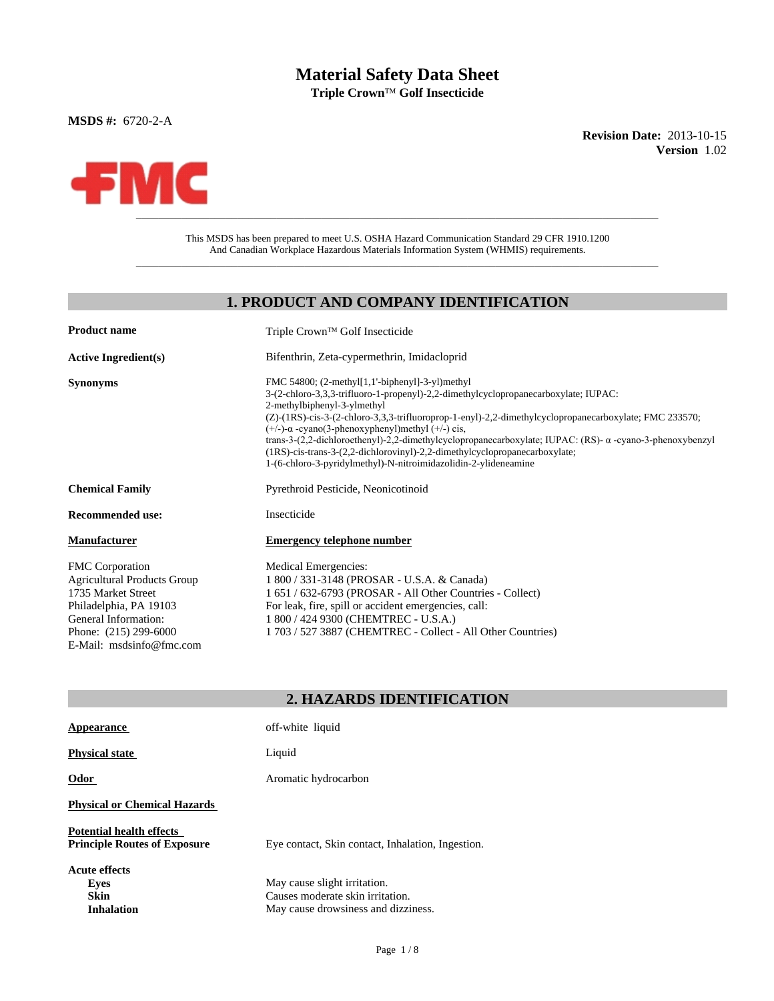# **Material Safety Data Sheet**

 $\mathbf{Triple}\ \mathbf{Crown}^{\mathsf{TM}}\ \mathbf{Golf}\ \mathbf{Insecticide}$ 

**MSDS #:** 6720-2-A

**Revision Date:** 2013-10-15 **Version** 1.02



E-Mail: msdsinfo@fmc.com

This MSDS has been prepared to meet U.S. OSHA Hazard Communication Standard 29 CFR 1910.1200 And Canadian Workplace Hazardous Materials Information System (WHMIS) requirements.

 $\_$  ,  $\_$  ,  $\_$  ,  $\_$  ,  $\_$  ,  $\_$  ,  $\_$  ,  $\_$  ,  $\_$  ,  $\_$  ,  $\_$  ,  $\_$  ,  $\_$  ,  $\_$  ,  $\_$  ,  $\_$  ,  $\_$  ,  $\_$  ,  $\_$  ,  $\_$  ,  $\_$  ,  $\_$  ,  $\_$  ,  $\_$  ,  $\_$  ,  $\_$  ,  $\_$  ,  $\_$  ,  $\_$  ,  $\_$  ,  $\_$  ,  $\_$  ,  $\_$  ,  $\_$  ,  $\_$  ,  $\_$  ,  $\_$  ,

#### **1. PRODUCT AND COMPANY IDENTIFICATION**

| <b>Product name</b>                                                                                                           | Triple Crown™ Golf Insecticide                                                                                                                                                                                                                                                                                                                                                                                                                                                                                                                                                                                |
|-------------------------------------------------------------------------------------------------------------------------------|---------------------------------------------------------------------------------------------------------------------------------------------------------------------------------------------------------------------------------------------------------------------------------------------------------------------------------------------------------------------------------------------------------------------------------------------------------------------------------------------------------------------------------------------------------------------------------------------------------------|
| <b>Active Ingredient(s)</b>                                                                                                   | Bifenthrin, Zeta-cypermethrin, Imidacloprid                                                                                                                                                                                                                                                                                                                                                                                                                                                                                                                                                                   |
| <b>Synonyms</b>                                                                                                               | FMC 54800; (2-methyl[1,1'-biphenyl]-3-yl)methyl<br>3-(2-chloro-3,3,3-trifluoro-1-propenyl)-2,2-dimethylcyclopropanecarboxylate; IUPAC:<br>2-methylbiphenyl-3-ylmethyl<br>(Z)-(1RS)-cis-3-(2-chloro-3,3,3-trifluoroprop-1-enyl)-2,2-dimethylcyclopropanecarboxylate; FMC 233570;<br>$(+/-)$ - $\alpha$ -cyano(3-phenoxyphenyl)methyl $(+/-)$ cis,<br>trans-3-(2,2-dichloroethenyl)-2,2-dimethylcyclopropanecarboxylate; IUPAC: (RS)- a -cyano-3-phenoxybenzyl<br>(1RS)-cis-trans-3-(2,2-dichlorovinyl)-2,2-dimethylcyclopropanecarboxylate;<br>1-(6-chloro-3-pyridylmethyl)-N-nitroimidazolidin-2-ylideneamine |
| <b>Chemical Family</b>                                                                                                        | Pyrethroid Pesticide, Neonicotinoid                                                                                                                                                                                                                                                                                                                                                                                                                                                                                                                                                                           |
| <b>Recommended use:</b>                                                                                                       | Insecticide                                                                                                                                                                                                                                                                                                                                                                                                                                                                                                                                                                                                   |
| <b>Manufacturer</b>                                                                                                           | <b>Emergency telephone number</b>                                                                                                                                                                                                                                                                                                                                                                                                                                                                                                                                                                             |
| FMC Corporation<br><b>Agricultural Products Group</b><br>1735 Market Street<br>Philadelphia, PA 19103<br>General Information: | Medical Emergencies:<br>1 800 / 331-3148 (PROSAR - U.S.A. & Canada)<br>1 651 / 632-6793 (PROSAR - All Other Countries - Collect)<br>For leak, fire, spill or accident emergencies, call:<br>1 800 / 424 9300 (CHEMTREC - U.S.A.)                                                                                                                                                                                                                                                                                                                                                                              |
| Phone: (215) 299-6000                                                                                                         | 1 703/527 3887 (CHEMTREC - Collect - All Other Countries)                                                                                                                                                                                                                                                                                                                                                                                                                                                                                                                                                     |

#### **2. HAZARDS IDENTIFICATION**

| Appearance                                                             | off-white liquid                                                                                        |
|------------------------------------------------------------------------|---------------------------------------------------------------------------------------------------------|
| <b>Physical state</b>                                                  | Liquid                                                                                                  |
| Odor                                                                   | Aromatic hydrocarbon                                                                                    |
| <b>Physical or Chemical Hazards</b>                                    |                                                                                                         |
| <b>Potential health effects</b><br><b>Principle Routes of Exposure</b> | Eye contact, Skin contact, Inhalation, Ingestion.                                                       |
| <b>Acute effects</b><br>Eyes<br><b>Skin</b><br><b>Inhalation</b>       | May cause slight irritation.<br>Causes moderate skin irritation.<br>May cause drowsiness and dizziness. |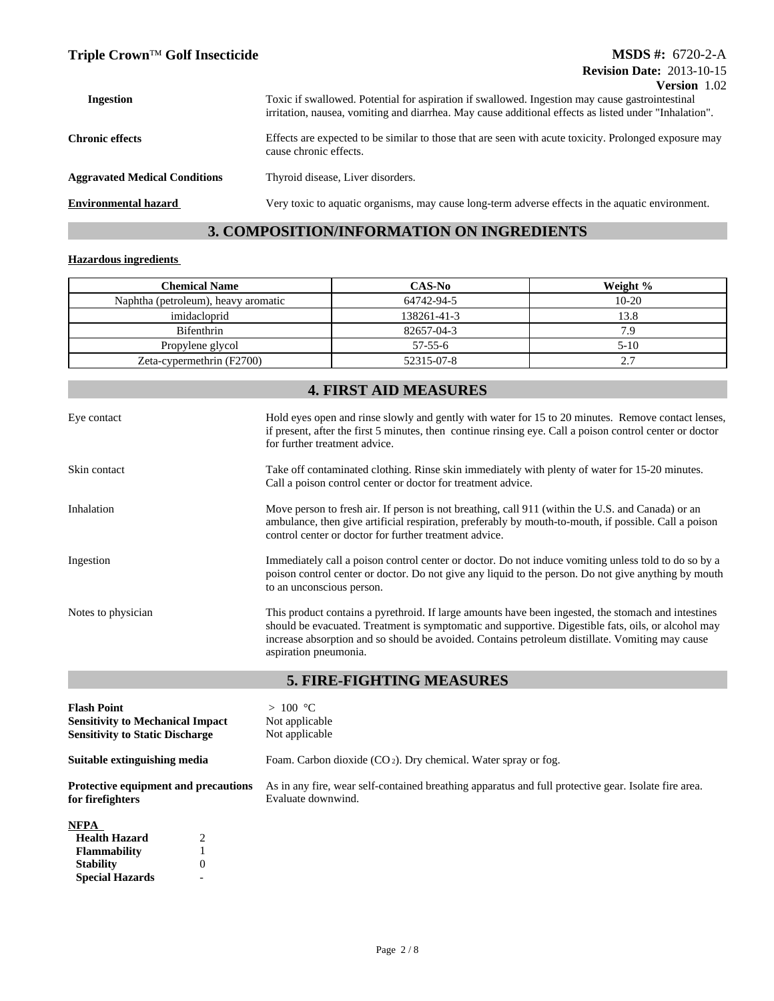### **Triple Crown**™ Golf Insecticide **MSDS #:** 6720-2-A

| $\mathbf{v}$ . The state is the state of $\mathbf{v}$<br>Toxic if swallowed. Potential for aspiration if swallowed. Ingestion may cause gastrointestinal<br>irritation, nausea, vomiting and diarrhea. May cause additional effects as listed under "Inhalation". |
|-------------------------------------------------------------------------------------------------------------------------------------------------------------------------------------------------------------------------------------------------------------------|
| Effects are expected to be similar to those that are seen with acute toxicity. Prolonged exposure may<br>cause chronic effects.                                                                                                                                   |
| Thyroid disease, Liver disorders.                                                                                                                                                                                                                                 |
| Very toxic to aquatic organisms, may cause long-term adverse effects in the aquatic environment.                                                                                                                                                                  |
|                                                                                                                                                                                                                                                                   |

# **3. COMPOSITION/INFORMATION ON INGREDIENTS**

#### **Hazardous ingredients**

**Special Hazards**

-

| <b>Chemical Name</b>                | CAS-No        | Weight %  |
|-------------------------------------|---------------|-----------|
| Naphtha (petroleum), heavy aromatic | 64742-94-5    | $10 - 20$ |
| imidacloprid                        | 138261-41-3   | 13.8      |
| <b>Bifenthrin</b>                   | 82657-04-3    | 7.9       |
| Propylene glycol                    | $57 - 55 - 6$ | $5-10$    |
| Zeta-cypermethrin (F2700)           | 52315-07-8    | 2.7       |

# **4. FIRST AID MEASURES**

| Eye contact        | Hold eyes open and rinse slowly and gently with water for 15 to 20 minutes. Remove contact lenses,<br>if present, after the first 5 minutes, then continue rinsing eye. Call a poison control center or doctor<br>for further treatment advice.                                                                                        |
|--------------------|----------------------------------------------------------------------------------------------------------------------------------------------------------------------------------------------------------------------------------------------------------------------------------------------------------------------------------------|
| Skin contact       | Take off contaminated clothing. Rinse skin immediately with plenty of water for 15-20 minutes.<br>Call a poison control center or doctor for treatment advice.                                                                                                                                                                         |
| Inhalation         | Move person to fresh air. If person is not breathing, call 911 (within the U.S. and Canada) or an<br>ambulance, then give artificial respiration, preferably by mouth-to-mouth, if possible. Call a poison<br>control center or doctor for further treatment advice.                                                                   |
| Ingestion          | Immediately call a poison control center or doctor. Do not induce vomiting unless told to do so by a<br>poison control center or doctor. Do not give any liquid to the person. Do not give anything by mouth<br>to an unconscious person.                                                                                              |
| Notes to physician | This product contains a pyrethroid. If large amounts have been ingested, the stomach and intestines<br>should be evacuated. Treatment is symptomatic and supportive. Digestible fats, oils, or alcohol may<br>increase absorption and so should be avoided. Contains petroleum distillate. Vomiting may cause<br>aspiration pneumonia. |
|                    |                                                                                                                                                                                                                                                                                                                                        |

# **5. FIRE-FIGHTING MEASURES**

| <b>Flash Point</b><br><b>Sensitivity to Mechanical Impact</b><br><b>Sensitivity to Static Discharge</b> |                             | > 100 °C<br>Not applicable<br>Not applicable                                                                               |
|---------------------------------------------------------------------------------------------------------|-----------------------------|----------------------------------------------------------------------------------------------------------------------------|
| Suitable extinguishing media                                                                            |                             | Foam. Carbon dioxide $(CO_2)$ . Dry chemical. Water spray or fog.                                                          |
| <b>Protective equipment and precautions</b><br>for firefighters                                         |                             | As in any fire, wear self-contained breathing apparatus and full protective gear. Isolate fire area.<br>Evaluate downwind. |
| <b>NFPA</b>                                                                                             |                             |                                                                                                                            |
| <b>Health Hazard</b>                                                                                    | $\mathcal{D}_{\mathcal{L}}$ |                                                                                                                            |
| <b>Flammability</b>                                                                                     |                             |                                                                                                                            |
| <b>Stability</b>                                                                                        | $\overline{0}$              |                                                                                                                            |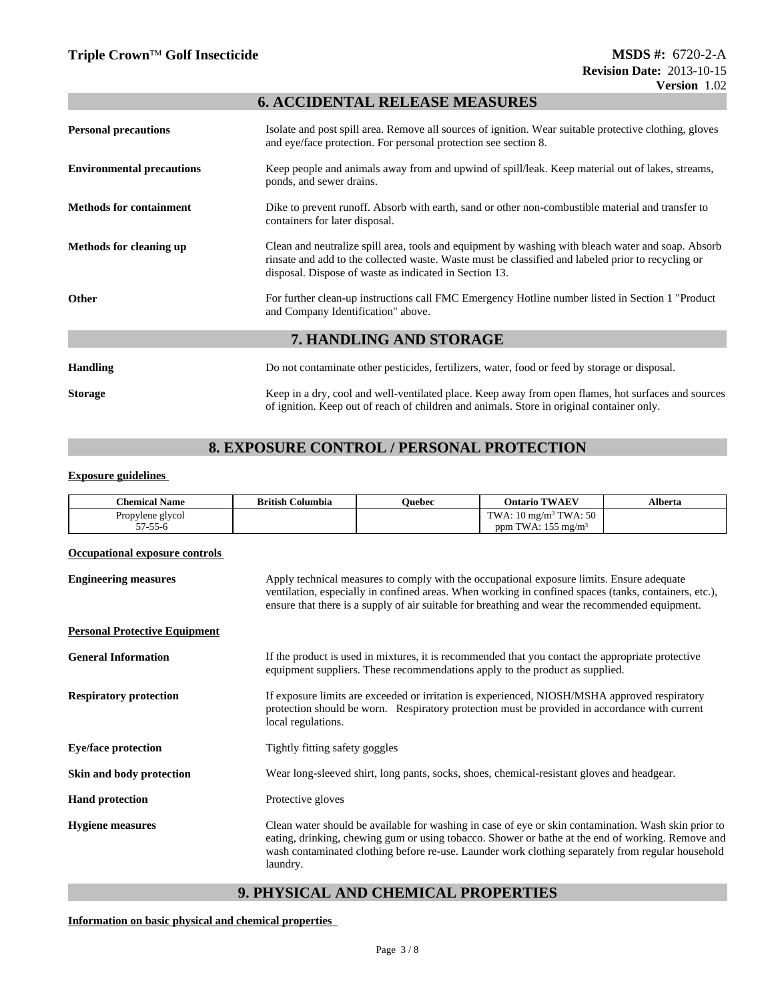### **6. ACCIDENTAL RELEASE MEASURES**

| <b>Personal precautions</b>      | Isolate and post spill area. Remove all sources of ignition. Wear suitable protective clothing, gloves<br>and eye/face protection. For personal protection see section 8.                                                                                          |  |  |
|----------------------------------|--------------------------------------------------------------------------------------------------------------------------------------------------------------------------------------------------------------------------------------------------------------------|--|--|
| <b>Environmental precautions</b> | Keep people and animals away from and upwind of spill/leak. Keep material out of lakes, streams,<br>ponds, and sewer drains.                                                                                                                                       |  |  |
| <b>Methods for containment</b>   | Dike to prevent runoff. Absorb with earth, sand or other non-combustible material and transfer to<br>containers for later disposal.                                                                                                                                |  |  |
| <b>Methods for cleaning up</b>   | Clean and neutralize spill area, tools and equipment by washing with bleach water and soap. Absorb<br>rinsate and add to the collected waste. Waste must be classified and labeled prior to recycling or<br>disposal. Dispose of waste as indicated in Section 13. |  |  |
| <b>Other</b>                     | For further clean-up instructions call FMC Emergency Hotline number listed in Section 1 "Product"<br>and Company Identification" above.                                                                                                                            |  |  |
| 7. HANDLING AND STORAGE          |                                                                                                                                                                                                                                                                    |  |  |
| <b>Handling</b>                  | Do not contaminate other pesticides, fertilizers, water, food or feed by storage or disposal.                                                                                                                                                                      |  |  |
| <b>Storage</b>                   | Keep in a dry, cool and well-ventilated place. Keep away from open flames, hot surfaces and sources<br>of ignition. Keep out of reach of children and animals. Store in original container only.                                                                   |  |  |

# **8. EXPOSURE CONTROL / PERSONAL PROTECTION**

#### **Exposure guidelines**

| Chemical <sub>1</sub><br><b>Name</b> | $\cdots$<br>British Columbia | Ouebec | <b>TWAEV</b><br>Ontario                                                       | Alberta |
|--------------------------------------|------------------------------|--------|-------------------------------------------------------------------------------|---------|
| Propylene<br>e giycol                |                              |        | ∩ ⊼<br>TW.<br><b>COLLE</b><br>$10 \text{ m}$ g/m <sup>3</sup><br>$\mathbf{A}$ |         |
| i7-55-6                              |                              |        | $ -$<br><b>COLLECT</b><br>i mg/mª<br>WA:<br>ppm                               |         |

#### **Occupational exposure controls**

| <b>Engineering measures</b>          | Apply technical measures to comply with the occupational exposure limits. Ensure adequate<br>ventilation, especially in confined areas. When working in confined spaces (tanks, containers, etc.),<br>ensure that there is a supply of air suitable for breathing and wear the recommended equipment.                      |
|--------------------------------------|----------------------------------------------------------------------------------------------------------------------------------------------------------------------------------------------------------------------------------------------------------------------------------------------------------------------------|
| <b>Personal Protective Equipment</b> |                                                                                                                                                                                                                                                                                                                            |
| <b>General Information</b>           | If the product is used in mixtures, it is recommended that you contact the appropriate protective<br>equipment suppliers. These recommendations apply to the product as supplied.                                                                                                                                          |
| <b>Respiratory protection</b>        | If exposure limits are exceeded or irritation is experienced, NIOSH/MSHA approved respiratory<br>protection should be worn. Respiratory protection must be provided in accordance with current<br>local regulations.                                                                                                       |
| <b>Eye/face protection</b>           | Tightly fitting safety goggles                                                                                                                                                                                                                                                                                             |
| Skin and body protection             | Wear long-sleeved shirt, long pants, socks, shoes, chemical-resistant gloves and headgear.                                                                                                                                                                                                                                 |
| <b>Hand protection</b>               | Protective gloves                                                                                                                                                                                                                                                                                                          |
| <b>Hygiene</b> measures              | Clean water should be available for washing in case of eye or skin contamination. Wash skin prior to<br>eating, drinking, chewing gum or using tobacco. Shower or bathe at the end of working. Remove and<br>wash contaminated clothing before re-use. Launder work clothing separately from regular household<br>laundry. |

### **9. PHYSICAL AND CHEMICAL PROPERTIES**

**Information on basic physical and chemical properties**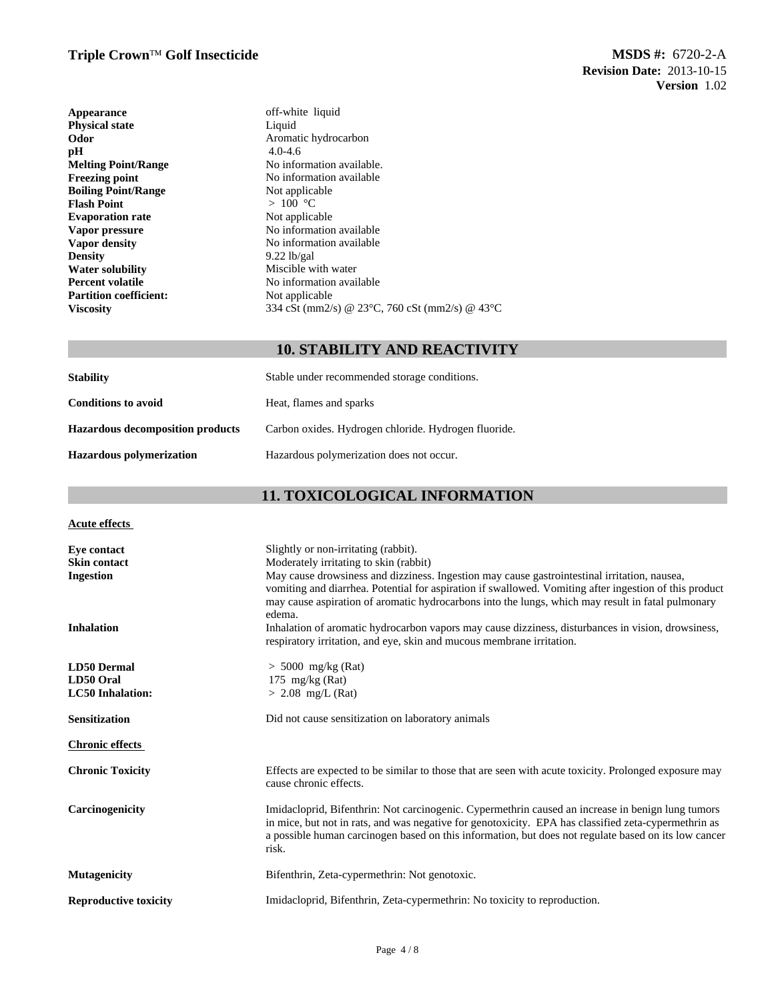| Appearance                    | off-white liquid                                                     |
|-------------------------------|----------------------------------------------------------------------|
| <b>Physical state</b>         | Liquid                                                               |
| Odor                          | Aromatic hydrocarbon                                                 |
| pН                            | $4.0 - 4.6$                                                          |
| <b>Melting Point/Range</b>    | No information available.                                            |
| <b>Freezing point</b>         | No information available                                             |
| <b>Boiling Point/Range</b>    | Not applicable                                                       |
| <b>Flash Point</b>            | > 100 °C                                                             |
| <b>Evaporation rate</b>       | Not applicable                                                       |
| Vapor pressure                | No information available                                             |
| Vapor density                 | No information available                                             |
| <b>Density</b>                | $9.22$ lb/gal                                                        |
| <b>Water solubility</b>       | Miscible with water                                                  |
| <b>Percent volatile</b>       | No information available                                             |
| <b>Partition coefficient:</b> | Not applicable                                                       |
| <b>Viscosity</b>              | 334 cSt (mm2/s) @ 23 $^{\circ}$ C, 760 cSt (mm2/s) @ 43 $^{\circ}$ C |

# **10. STABILITY AND REACTIVITY**

| <b>Stability</b>                        | Stable under recommended storage conditions.         |
|-----------------------------------------|------------------------------------------------------|
| <b>Conditions to avoid</b>              | Heat, flames and sparks                              |
| <b>Hazardous decomposition products</b> | Carbon oxides. Hydrogen chloride. Hydrogen fluoride. |
| Hazardous polymerization                | Hazardous polymerization does not occur.             |

# **11. TOXICOLOGICAL INFORMATION**

| Acute effects                |                                                                                                                                                                                                                                                                                                                            |
|------------------------------|----------------------------------------------------------------------------------------------------------------------------------------------------------------------------------------------------------------------------------------------------------------------------------------------------------------------------|
| Eye contact                  | Slightly or non-irritating (rabbit).                                                                                                                                                                                                                                                                                       |
| <b>Skin contact</b>          | Moderately irritating to skin (rabbit)                                                                                                                                                                                                                                                                                     |
| <b>Ingestion</b>             | May cause drowsiness and dizziness. Ingestion may cause gastrointestinal irritation, nausea,<br>vomiting and diarrhea. Potential for aspiration if swallowed. Vomiting after ingestion of this product<br>may cause aspiration of aromatic hydrocarbons into the lungs, which may result in fatal pulmonary<br>edema.      |
| <b>Inhalation</b>            | Inhalation of aromatic hydrocarbon vapors may cause dizziness, disturbances in vision, drowsiness,<br>respiratory irritation, and eye, skin and mucous membrane irritation.                                                                                                                                                |
| <b>LD50 Dermal</b>           | $> 5000$ mg/kg (Rat)                                                                                                                                                                                                                                                                                                       |
| LD50 Oral                    | 175 mg/kg $(Rat)$                                                                                                                                                                                                                                                                                                          |
| <b>LC50</b> Inhalation:      | $> 2.08$ mg/L (Rat)                                                                                                                                                                                                                                                                                                        |
| <b>Sensitization</b>         | Did not cause sensitization on laboratory animals                                                                                                                                                                                                                                                                          |
| <b>Chronic effects</b>       |                                                                                                                                                                                                                                                                                                                            |
| <b>Chronic Toxicity</b>      | Effects are expected to be similar to those that are seen with acute toxicity. Prolonged exposure may<br>cause chronic effects.                                                                                                                                                                                            |
| Carcinogenicity              | Imidacloprid, Bifenthrin: Not carcinogenic. Cypermethrin caused an increase in benign lung tumors<br>in mice, but not in rats, and was negative for genotoxicity. EPA has classified zeta-cypermethrin as<br>a possible human carcinogen based on this information, but does not regulate based on its low cancer<br>risk. |
| <b>Mutagenicity</b>          | Bifenthrin, Zeta-cypermethrin: Not genotoxic.                                                                                                                                                                                                                                                                              |
| <b>Reproductive toxicity</b> | Imidacloprid, Bifenthrin, Zeta-cypermethrin: No toxicity to reproduction.                                                                                                                                                                                                                                                  |
|                              |                                                                                                                                                                                                                                                                                                                            |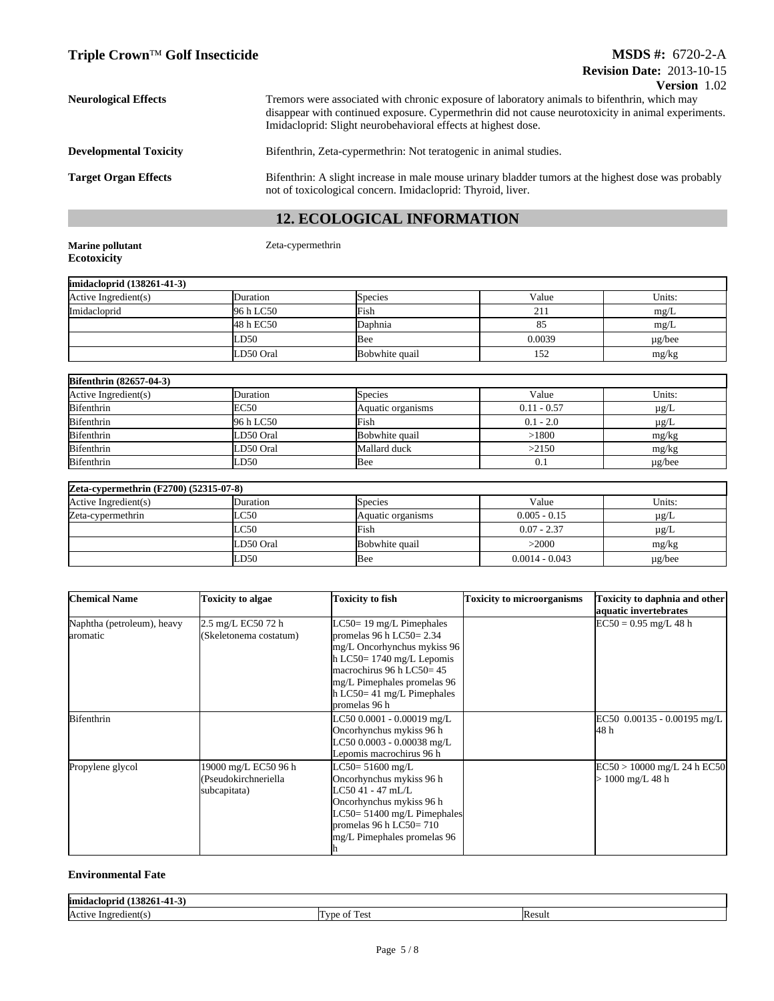| <b>Neurological Effects</b>   | Tremors were associated with chronic exposure of laboratory animals to bifenthrin, which may<br>disappear with continued exposure. Cypermethrin did not cause neurotoxicity in animal experiments.<br>Imidacloprid: Slight neurobehavioral effects at highest dose. |
|-------------------------------|---------------------------------------------------------------------------------------------------------------------------------------------------------------------------------------------------------------------------------------------------------------------|
| <b>Developmental Toxicity</b> | Bifenthrin, Zeta-cypermethrin: Not teratogenic in animal studies.                                                                                                                                                                                                   |
| <b>Target Organ Effects</b>   | Bifenthrin: A slight increase in male mouse urinary bladder tumors at the highest dose was probably<br>not of toxicological concern. Imidacloprid: Thyroid, liver.                                                                                                  |

# **12. ECOLOGICAL INFORMATION**

| <b>Marine pollutant</b> |  |
|-------------------------|--|
| <b>Ecotoxicity</b>      |  |

**Marine pollutant** Zeta-cypermethrin

| imidacloprid (138261-41-3) |           |                |        |             |
|----------------------------|-----------|----------------|--------|-------------|
| Active Ingredient(s)       | Duration  | <b>Species</b> | Value  | Units:      |
| Imidacloprid               | 96 h LC50 | Fish           | 21 I   | mg/L        |
|                            | 48 h EC50 | Daphnia        | 85     | mg/L        |
|                            | LD50      | lBee           | 0.0039 | $\mu$ g/bee |
|                            | LD50 Oral | Bobwhite quail | 152    | mg/kg       |

| <b>Bifenthrin</b> (82657-04-3) |           |                   |               |             |
|--------------------------------|-----------|-------------------|---------------|-------------|
| Active Ingredient(s)           | Duration  | <b>Species</b>    | Value         | Units:      |
| Bifenthrin                     | EC50      | Aquatic organisms | $0.11 - 0.57$ | µg/L        |
| Bifenthrin                     | 96 h LC50 | Fish              | $0.1 - 2.0$   | µg/L        |
| Bifenthrin                     | LD50 Oral | Bobwhite quail    | >1800         | mg/kg       |
| Bifenthrin                     | LD50 Oral | Mallard duck      | >2150         | mg/kg       |
| Bifenthrin                     | LD50      | Bee               | 0.1           | $\mu$ g/bee |

| Zeta-cypermethrin (F2700) (52315-07-8) |               |                   |                  |             |
|----------------------------------------|---------------|-------------------|------------------|-------------|
| Active Ingredient(s)                   | Duration      | Species           | Value            | Units:      |
| Zeta-cypermethrin                      | LC50          | Aquatic organisms | $0.005 - 0.15$   | $\mu$ g/L   |
|                                        | $_{\rm LC50}$ | Fish              | $0.07 - 2.37$    | $\mu$ g/L   |
|                                        | LD50 Oral     | Bobwhite quail    | >2000            | mg/kg       |
|                                        | LD50          | Bee               | $0.0014 - 0.043$ | $\mu$ g/bee |

| <b>Chemical Name</b>                   | <b>Toxicity to algae</b>                                     | <b>Toxicity to fish</b>                                                                                                                                                                                                             | <b>Toxicity to microorganisms</b> | <b>Toxicity to daphnia and other</b><br>aquatic invertebrates |
|----------------------------------------|--------------------------------------------------------------|-------------------------------------------------------------------------------------------------------------------------------------------------------------------------------------------------------------------------------------|-----------------------------------|---------------------------------------------------------------|
| Naphtha (petroleum), heavy<br>aromatic | 2.5 mg/L EC50 72 h<br>(Skeletonema costatum)                 | $LC50 = 19$ mg/L Pimephales<br>promelas 96 h LC50= $2.34$<br>mg/L Oncorhynchus mykiss 96<br>$h$ LC50= 1740 mg/L Lepomis<br>macrochirus 96 h LC50=45<br>mg/L Pimephales promelas 96<br>$h$ LC50= 41 mg/L Pimephales<br>promelas 96 h |                                   | $EC50 = 0.95$ mg/L 48 h                                       |
| <b>B</b> ifenthrin                     |                                                              | LC50 0.0001 - 0.00019 mg/L<br>Oncorhynchus mykiss 96 h<br>LC50 0.0003 - 0.00038 mg/L<br>Lepomis macrochirus 96 h                                                                                                                    |                                   | EC50 $0.00135 - 0.00195$ mg/L<br>48 h                         |
| Propylene glycol                       | 19000 mg/L EC50 96 h<br>(Pseudokirchneriella<br>subcapitata) | LC50= 51600 mg/L<br>Oncorhynchus mykiss 96 h<br>LC50 41 - 47 mL/L<br>Oncorhynchus mykiss 96 h<br>LC50= 51400 mg/L Pimephales<br>promelas 96 h LC50= $710$<br>mg/L Pimephales promelas 96                                            |                                   | $EC50 > 10000$ mg/L 24 h $EC50$<br>$> 1000$ mg/L 48 h         |

#### **Environmental Fate**

| <br>limidacloprid<br>520.         |                                                                      |       |
|-----------------------------------|----------------------------------------------------------------------|-------|
| <b>Active</b><br>edient(s<br>Inor | $\overline{\phantom{a}}$<br>l vne<br>$\alpha$<br>$\sim$<br><b>CN</b> | Resul |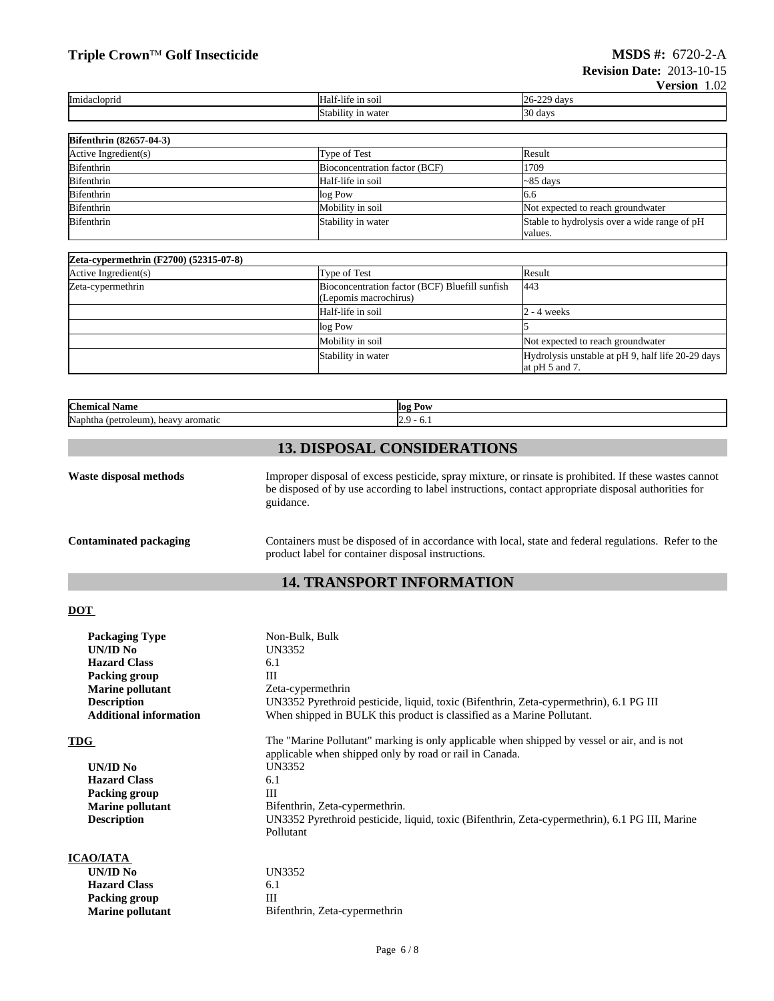# **Triple Crown**<sup>™</sup>**Golf Insecticide MSDS #: 6720-2-A**

|              |                                | $\sim$ $\sim$ $\sim$ $\sim$ $\sim$<br>$\ldots$ |
|--------------|--------------------------------|------------------------------------------------|
| Imidacloprid | 111 SO11<br>Half<br>-life      | ററ<br>dav<br>. <i>.</i>                        |
|              | .<br>Stabilit<br>ı wateı<br>1n | $\mathbf{a}$<br>, dav                          |

| <b>Bifenthrin (82657-04-3)</b> |                               |                                              |
|--------------------------------|-------------------------------|----------------------------------------------|
| Active Ingredient(s)           | Type of Test                  | Result                                       |
| Bifenthrin                     | Bioconcentration factor (BCF) | 1709                                         |
| <b>Bifenthrin</b>              | Half-life in soil             | $\sim$ 85 days                               |
| Bifenthrin                     | log Pow                       | 6.6                                          |
| Bifenthrin                     | Mobility in soil              | Not expected to reach groundwater            |
| <b>Bifenthrin</b>              | Stability in water            | Stable to hydrolysis over a wide range of pH |
|                                |                               | values.                                      |

| Zeta-cypermethrin (F2700) (52315-07-8) |                                                                         |                                                                       |
|----------------------------------------|-------------------------------------------------------------------------|-----------------------------------------------------------------------|
| Active Ingredient(s)                   | Type of Test                                                            | Result                                                                |
| Zeta-cypermethrin                      | Bioconcentration factor (BCF) Bluefill sunfish<br>(Lepomis macrochirus) | 443                                                                   |
|                                        | Half-life in soil                                                       | 2 - 4 weeks                                                           |
|                                        | log Pow                                                                 |                                                                       |
|                                        | Mobility in soil                                                        | Not expected to reach groundwater                                     |
|                                        | Stability in water                                                      | Hydrolysis unstable at pH 9, half life 20-29 days<br>at $pH$ 5 and 7. |

| <b>Chemica</b><br>Name                                    | llog Pow   |
|-----------------------------------------------------------|------------|
| Naphti.<br>' petroleum.<br><sup>.</sup> aromatıc<br>heavy | . ∪.⊥<br>. |

# **13. DISPOSAL CONSIDERATIONS**

| Waste disposal methods | Improper disposal of excess pesticide, spray mixture, or rinsate is prohibited. If these wastes cannot<br>be disposed of by use according to label instructions, contact appropriate disposal authorities for<br>guidance. |
|------------------------|----------------------------------------------------------------------------------------------------------------------------------------------------------------------------------------------------------------------------|
| Contaminated packaging | Containers must be disposed of in accordance with local, state and federal regulations. Refer to the<br>product label for container disposal instructions.                                                                 |

# **14. TRANSPORT INFORMATION**

### **DOT**

| <b>Packaging Type</b>         | Non-Bulk, Bulk                                                                                 |  |  |
|-------------------------------|------------------------------------------------------------------------------------------------|--|--|
| UN/ID No                      | UN3352                                                                                         |  |  |
| <b>Hazard Class</b>           | 6.1                                                                                            |  |  |
| Packing group                 | Ш                                                                                              |  |  |
| <b>Marine pollutant</b>       | Zeta-cypermethrin                                                                              |  |  |
| <b>Description</b>            | UN3352 Pyrethroid pesticide, liquid, toxic (Bifenthrin, Zeta-cypermethrin), 6.1 PG III         |  |  |
| <b>Additional information</b> | When shipped in BULK this product is classified as a Marine Pollutant.                         |  |  |
| TDG                           | The "Marine Pollutant" marking is only applicable when shipped by vessel or air, and is not    |  |  |
|                               | applicable when shipped only by road or rail in Canada.                                        |  |  |
| UN/ID No                      | UN3352                                                                                         |  |  |
| <b>Hazard Class</b>           | 6.1                                                                                            |  |  |
| Packing group                 | Ш                                                                                              |  |  |
| <b>Marine pollutant</b>       | Bifenthrin, Zeta-cypermethrin.                                                                 |  |  |
| <b>Description</b>            | UN3352 Pyrethroid pesticide, liquid, toxic (Bifenthrin, Zeta-cypermethrin), 6.1 PG III, Marine |  |  |
|                               | Pollutant                                                                                      |  |  |
| <b>ICAO/IATA</b>              |                                                                                                |  |  |
| UN/ID No                      | UN3352                                                                                         |  |  |
| <b>Hazard Class</b>           | 6.1                                                                                            |  |  |
| Packing group                 | Ш                                                                                              |  |  |
| <b>Marine pollutant</b>       | Bifenthrin, Zeta-cypermethrin                                                                  |  |  |
|                               |                                                                                                |  |  |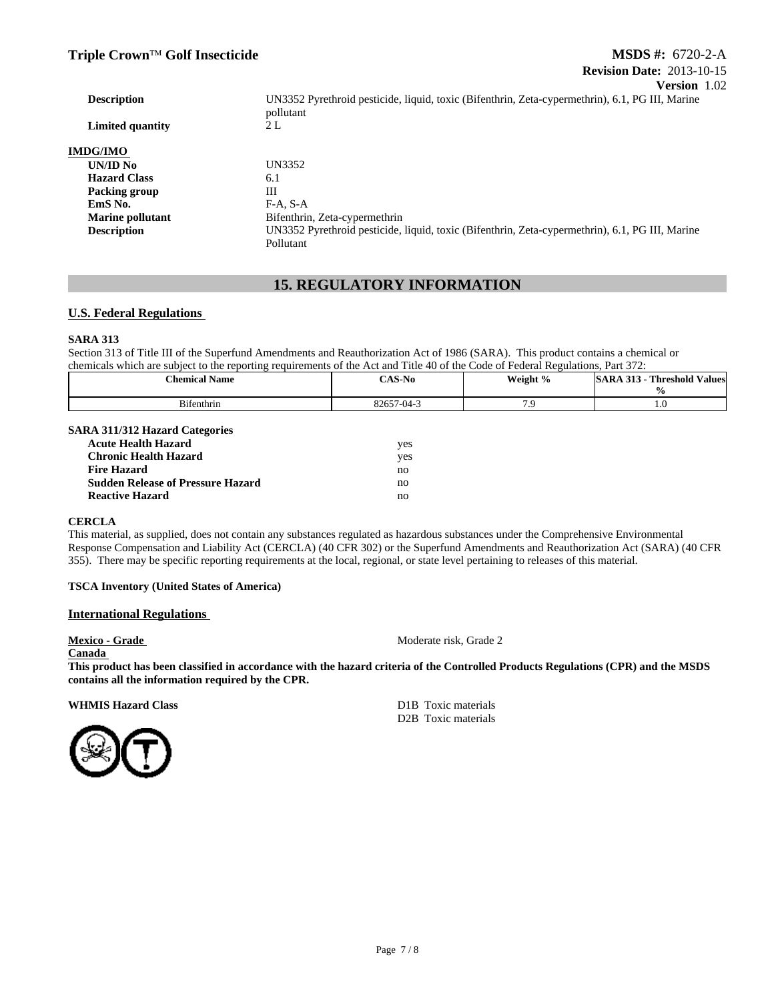| <b>Description</b>      | UN3352 Pyrethroid pesticide, liquid, toxic (Bifenthrin, Zeta-cypermethrin), 6.1, PG III, Marine<br>pollutant |  |
|-------------------------|--------------------------------------------------------------------------------------------------------------|--|
| Limited quantity        | 2 L                                                                                                          |  |
| <b>IMDG/IMO</b>         |                                                                                                              |  |
| UN/ID No                | UN3352                                                                                                       |  |
| <b>Hazard Class</b>     | 6.1                                                                                                          |  |
| Packing group           | Ш                                                                                                            |  |
| EmS No.                 | $F-A. S-A$                                                                                                   |  |
| <b>Marine pollutant</b> | Bifenthrin, Zeta-cypermethrin                                                                                |  |
| <b>Description</b>      | UN3352 Pyrethroid pesticide, liquid, toxic (Bifenthrin, Zeta-cypermethrin), 6.1, PG III, Marine<br>Pollutant |  |
|                         |                                                                                                              |  |

### **15. REGULATORY INFORMATION**

#### **U.S. Federal Regulations**

#### **SARA 313**

Section 313 of Title III of the Superfund Amendments and Reauthorization Act of 1986 (SARA). This product contains a chemical or chemicals which are subject to the reporting requirements of the Act and Title 40 of the Code of Federal Regulations, Part 372:

| SARA 311/312 Hazard Categories           |     |  |
|------------------------------------------|-----|--|
| <b>Acute Health Hazard</b>               | yes |  |
| <b>Chronic Health Hazard</b>             | yes |  |
| <b>Fire Hazard</b>                       | no  |  |
| <b>Sudden Release of Pressure Hazard</b> | no  |  |
| <b>Reactive Hazard</b>                   | no  |  |

#### **CERCLA**

This material, as supplied, does not contain any substances regulated as hazardous substances under the Comprehensive Environmental Response Compensation and Liability Act (CERCLA) (40 CFR 302) or the Superfund Amendments and Reauthorization Act (SARA) (40 CFR 355). There may be specific reporting requirements at the local, regional, or state level pertaining to releases of this material.

#### **TSCA Inventory (United States of America)**

#### **International Regulations**

**Canada** 

**Mexico - Grade** 2 **Moderate risk, Grade 2** 

**This product has been classified in accordance with the hazard criteria of the Controlled Products Regulations (CPR) and the MSDS contains all the information required by the CPR.**

**WHMIS Hazard Class D1B Toxic materials** 

D2B Toxic materials